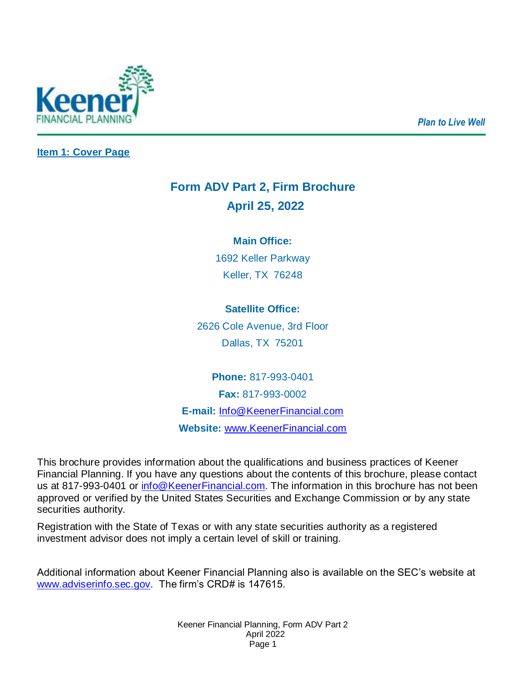*Plan to Live Well*



<span id="page-0-0"></span>**Item 1: Cover Page**

# **Form ADV Part 2, Firm Brochure April 25, 2022**

## **Main Office:**

1692 Keller Parkway Keller, TX 76248

## **Satellite Office:**

2626 Cole Avenue, 3rd Floor Dallas, TX 75201

**Phone:** 817-993-0401 **Fax:** 817-993-0002 **E-mail:** [Info@KeenerFinancial.com](mailto:Info@KeenerFinancial.com) **Website:** [www.KeenerFinancial.com](http://www.keenerfinancial.com/)

This brochure provides information about the qualifications and business practices of Keener Financial Planning. If you have any questions about the contents of this brochure, please contact us at 817-993-0401 or [info@KeenerFinancial.com.](mailto:info@KeenerFinancial.com) The information in this brochure has not been approved or verified by the United States Securities and Exchange Commission or by any state securities authority.

Registration with the State of Texas or with any state securities authority as a registered investment advisor does not imply a certain level of skill or training.

Additional information about Keener Financial Planning also is available on the SEC's website at [www.adviserinfo.sec.gov.](http://www.adviserinfo.sec.gov/) The firm's CRD# is 147615.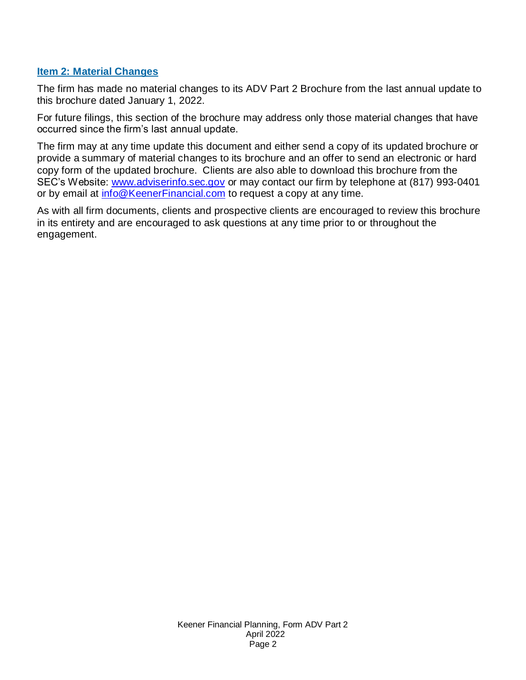#### <span id="page-1-0"></span>**Item 2: Material Changes**

The firm has made no material changes to its ADV Part 2 Brochure from the last annual update to this brochure dated January 1, 2022.

For future filings, this section of the brochure may address only those material changes that have occurred since the firm's last annual update.

The firm may at any time update this document and either send a copy of its updated brochure or provide a summary of material changes to its brochure and an offer to send an electronic or hard copy form of the updated brochure. Clients are also able to download this brochure from the SEC's Website: [www.adviserinfo.sec.gov](http://www.adviserinfo.sec.gov/) or may contact our firm by telephone at (817) 993-0401 or by email at [info@KeenerFinancial.com](mailto:info@KeenerFinancial.com) to request a copy at any time.

As with all firm documents, clients and prospective clients are encouraged to review this brochure in its entirety and are encouraged to ask questions at any time prior to or throughout the engagement.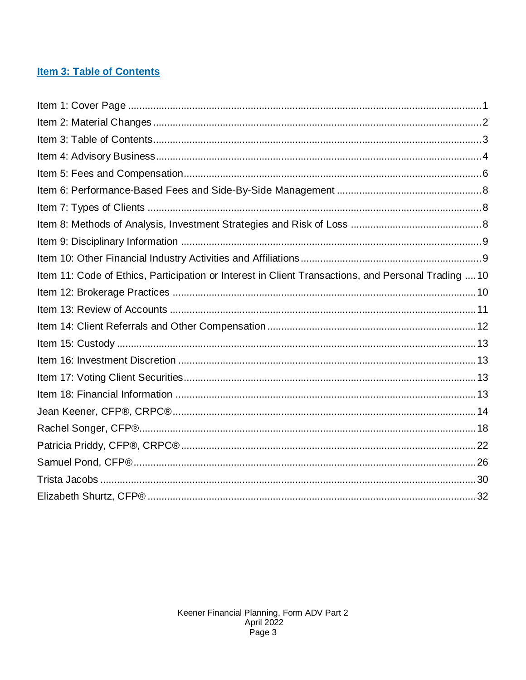## <span id="page-2-0"></span>**Item 3: Table of Contents**

| Item 11: Code of Ethics, Participation or Interest in Client Transactions, and Personal Trading  10 |  |
|-----------------------------------------------------------------------------------------------------|--|
|                                                                                                     |  |
|                                                                                                     |  |
|                                                                                                     |  |
|                                                                                                     |  |
|                                                                                                     |  |
|                                                                                                     |  |
|                                                                                                     |  |
|                                                                                                     |  |
|                                                                                                     |  |
|                                                                                                     |  |
|                                                                                                     |  |
|                                                                                                     |  |
|                                                                                                     |  |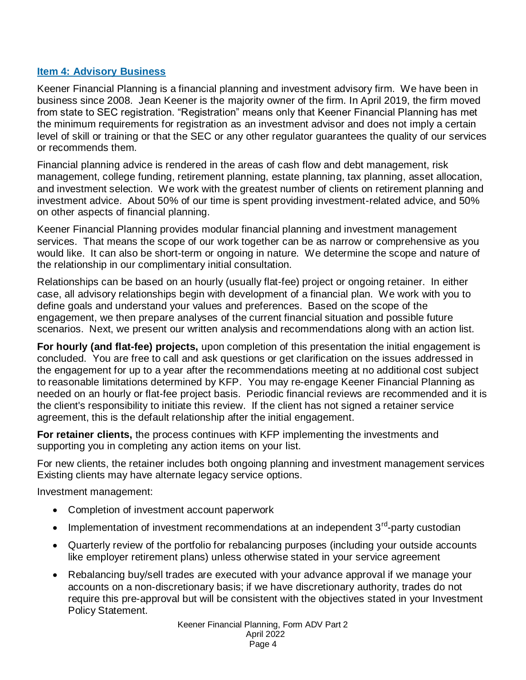#### <span id="page-3-0"></span>**Item 4: Advisory Business**

Keener Financial Planning is a financial planning and investment advisory firm. We have been in business since 2008. Jean Keener is the majority owner of the firm. In April 2019, the firm moved from state to SEC registration. "Registration" means only that Keener Financial Planning has met the minimum requirements for registration as an investment advisor and does not imply a certain level of skill or training or that the SEC or any other regulator guarantees the quality of our services or recommends them.

Financial planning advice is rendered in the areas of cash flow and debt management, risk management, college funding, retirement planning, estate planning, tax planning, asset allocation, and investment selection. We work with the greatest number of clients on retirement planning and investment advice. About 50% of our time is spent providing investment-related advice, and 50% on other aspects of financial planning.

Keener Financial Planning provides modular financial planning and investment management services. That means the scope of our work together can be as narrow or comprehensive as you would like. It can also be short-term or ongoing in nature. We determine the scope and nature of the relationship in our complimentary initial consultation.

Relationships can be based on an hourly (usually flat-fee) project or ongoing retainer. In either case, all advisory relationships begin with development of a financial plan. We work with you to define goals and understand your values and preferences. Based on the scope of the engagement, we then prepare analyses of the current financial situation and possible future scenarios. Next, we present our written analysis and recommendations along with an action list.

**For hourly (and flat-fee) projects,** upon completion of this presentation the initial engagement is concluded. You are free to call and ask questions or get clarification on the issues addressed in the engagement for up to a year after the recommendations meeting at no additional cost subject to reasonable limitations determined by KFP. You may re-engage Keener Financial Planning as needed on an hourly or flat-fee project basis. Periodic financial reviews are recommended and it is the client's responsibility to initiate this review. If the client has not signed a retainer service agreement, this is the default relationship after the initial engagement.

**For retainer clients,** the process continues with KFP implementing the investments and supporting you in completing any action items on your list.

For new clients, the retainer includes both ongoing planning and investment management services Existing clients may have alternate legacy service options.

Investment management:

- Completion of investment account paperwork
- Implementation of investment recommendations at an independent 3<sup>rd</sup>-party custodian
- Quarterly review of the portfolio for rebalancing purposes (including your outside accounts like employer retirement plans) unless otherwise stated in your service agreement
- Rebalancing buy/sell trades are executed with your advance approval if we manage your accounts on a non-discretionary basis; if we have discretionary authority, trades do not require this pre-approval but will be consistent with the objectives stated in your Investment Policy Statement.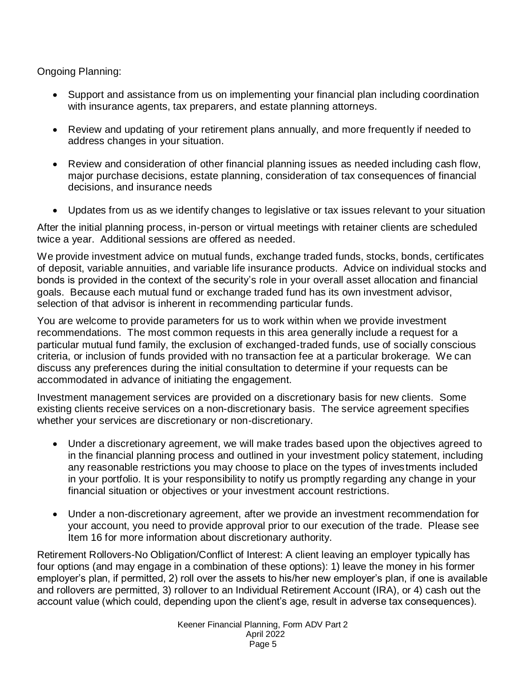Ongoing Planning:

- Support and assistance from us on implementing your financial plan including coordination with insurance agents, tax preparers, and estate planning attorneys.
- Review and updating of your retirement plans annually, and more frequently if needed to address changes in your situation.
- Review and consideration of other financial planning issues as needed including cash flow, major purchase decisions, estate planning, consideration of tax consequences of financial decisions, and insurance needs
- Updates from us as we identify changes to legislative or tax issues relevant to your situation

After the initial planning process, in-person or virtual meetings with retainer clients are scheduled twice a year. Additional sessions are offered as needed.

We provide investment advice on mutual funds, exchange traded funds, stocks, bonds, certificates of deposit, variable annuities, and variable life insurance products. Advice on individual stocks and bonds is provided in the context of the security's role in your overall asset allocation and financial goals. Because each mutual fund or exchange traded fund has its own investment advisor, selection of that advisor is inherent in recommending particular funds.

You are welcome to provide parameters for us to work within when we provide investment recommendations. The most common requests in this area generally include a request for a particular mutual fund family, the exclusion of exchanged-traded funds, use of socially conscious criteria, or inclusion of funds provided with no transaction fee at a particular brokerage. We can discuss any preferences during the initial consultation to determine if your requests can be accommodated in advance of initiating the engagement.

Investment management services are provided on a discretionary basis for new clients. Some existing clients receive services on a non-discretionary basis. The service agreement specifies whether your services are discretionary or non-discretionary.

- Under a discretionary agreement, we will make trades based upon the objectives agreed to in the financial planning process and outlined in your investment policy statement, including any reasonable restrictions you may choose to place on the types of investments included in your portfolio. It is your responsibility to notify us promptly regarding any change in your financial situation or objectives or your investment account restrictions.
- Under a non-discretionary agreement, after we provide an investment recommendation for your account, you need to provide approval prior to our execution of the trade. Please see Item 16 for more information about discretionary authority.

Retirement Rollovers-No Obligation/Conflict of Interest: A client leaving an employer typically has four options (and may engage in a combination of these options): 1) leave the money in his former employer's plan, if permitted, 2) roll over the assets to his/her new employer's plan, if one is available and rollovers are permitted, 3) rollover to an Individual Retirement Account (IRA), or 4) cash out the account value (which could, depending upon the client's age, result in adverse tax consequences).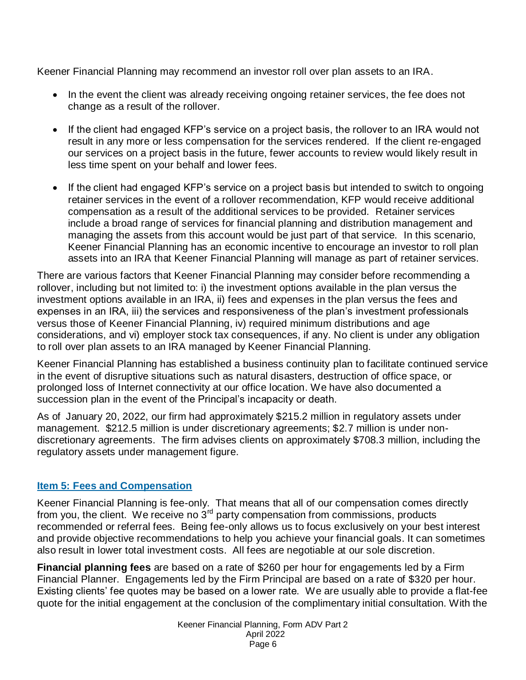Keener Financial Planning may recommend an investor roll over plan assets to an IRA.

- In the event the client was already receiving ongoing retainer services, the fee does not change as a result of the rollover.
- If the client had engaged KFP's service on a project basis, the rollover to an IRA would not result in any more or less compensation for the services rendered. If the client re-engaged our services on a project basis in the future, fewer accounts to review would likely result in less time spent on your behalf and lower fees.
- If the client had engaged KFP's service on a project basis but intended to switch to ongoing retainer services in the event of a rollover recommendation, KFP would receive additional compensation as a result of the additional services to be provided. Retainer services include a broad range of services for financial planning and distribution management and managing the assets from this account would be just part of that service. In this scenario, Keener Financial Planning has an economic incentive to encourage an investor to roll plan assets into an IRA that Keener Financial Planning will manage as part of retainer services.

There are various factors that Keener Financial Planning may consider before recommending a rollover, including but not limited to: i) the investment options available in the plan versus the investment options available in an IRA, ii) fees and expenses in the plan versus the fees and expenses in an IRA, iii) the services and responsiveness of the plan's investment professionals versus those of Keener Financial Planning, iv) required minimum distributions and age considerations, and vi) employer stock tax consequences, if any. No client is under any obligation to roll over plan assets to an IRA managed by Keener Financial Planning.

Keener Financial Planning has established a business continuity plan to facilitate continued service in the event of disruptive situations such as natural disasters, destruction of office space, or prolonged loss of Internet connectivity at our office location. We have also documented a succession plan in the event of the Principal's incapacity or death.

As of January 20, 2022, our firm had approximately \$215.2 million in regulatory assets under management. \$212.5 million is under discretionary agreements; \$2.7 million is under nondiscretionary agreements. The firm advises clients on approximately \$708.3 million, including the regulatory assets under management figure.

#### <span id="page-5-0"></span>**Item 5: Fees and Compensation**

Keener Financial Planning is fee-only. That means that all of our compensation comes directly from you, the client. We receive no  $3<sup>rd</sup>$  party compensation from commissions, products recommended or referral fees. Being fee-only allows us to focus exclusively on your best interest and provide objective recommendations to help you achieve your financial goals. It can sometimes also result in lower total investment costs. All fees are negotiable at our sole discretion.

**Financial planning fees** are based on a rate of \$260 per hour for engagements led by a Firm Financial Planner. Engagements led by the Firm Principal are based on a rate of \$320 per hour. Existing clients' fee quotes may be based on a lower rate. We are usually able to provide a flat-fee quote for the initial engagement at the conclusion of the complimentary initial consultation. With the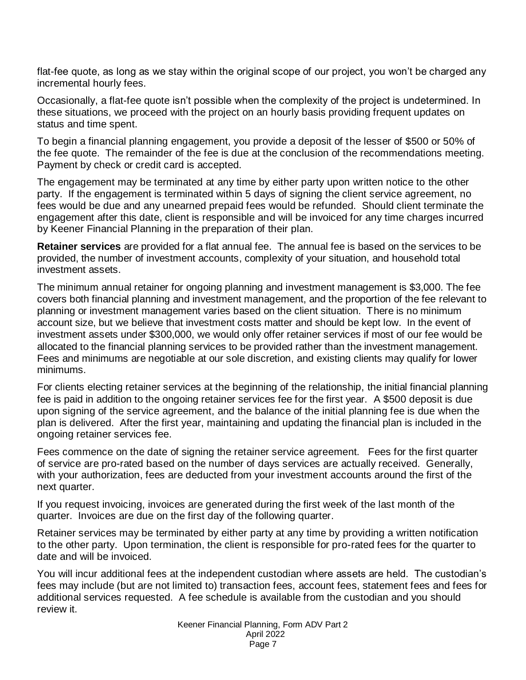flat-fee quote, as long as we stay within the original scope of our project, you won't be charged any incremental hourly fees.

Occasionally, a flat-fee quote isn't possible when the complexity of the project is undetermined. In these situations, we proceed with the project on an hourly basis providing frequent updates on status and time spent.

To begin a financial planning engagement, you provide a deposit of the lesser of \$500 or 50% of the fee quote. The remainder of the fee is due at the conclusion of the recommendations meeting. Payment by check or credit card is accepted.

The engagement may be terminated at any time by either party upon written notice to the other party. If the engagement is terminated within 5 days of signing the client service agreement, no fees would be due and any unearned prepaid fees would be refunded. Should client terminate the engagement after this date, client is responsible and will be invoiced for any time charges incurred by Keener Financial Planning in the preparation of their plan.

**Retainer services** are provided for a flat annual fee. The annual fee is based on the services to be provided, the number of investment accounts, complexity of your situation, and household total investment assets.

The minimum annual retainer for ongoing planning and investment management is \$3,000. The fee covers both financial planning and investment management, and the proportion of the fee relevant to planning or investment management varies based on the client situation. There is no minimum account size, but we believe that investment costs matter and should be kept low. In the event of investment assets under \$300,000, we would only offer retainer services if most of our fee would be allocated to the financial planning services to be provided rather than the investment management. Fees and minimums are negotiable at our sole discretion, and existing clients may qualify for lower minimums.

For clients electing retainer services at the beginning of the relationship, the initial financial planning fee is paid in addition to the ongoing retainer services fee for the first year. A \$500 deposit is due upon signing of the service agreement, and the balance of the initial planning fee is due when the plan is delivered. After the first year, maintaining and updating the financial plan is included in the ongoing retainer services fee.

Fees commence on the date of signing the retainer service agreement. Fees for the first quarter of service are pro-rated based on the number of days services are actually received. Generally, with your authorization, fees are deducted from your investment accounts around the first of the next quarter.

If you request invoicing, invoices are generated during the first week of the last month of the quarter. Invoices are due on the first day of the following quarter.

Retainer services may be terminated by either party at any time by providing a written notification to the other party. Upon termination, the client is responsible for pro-rated fees for the quarter to date and will be invoiced.

You will incur additional fees at the independent custodian where assets are held. The custodian's fees may include (but are not limited to) transaction fees, account fees, statement fees and fees for additional services requested. A fee schedule is available from the custodian and you should review it.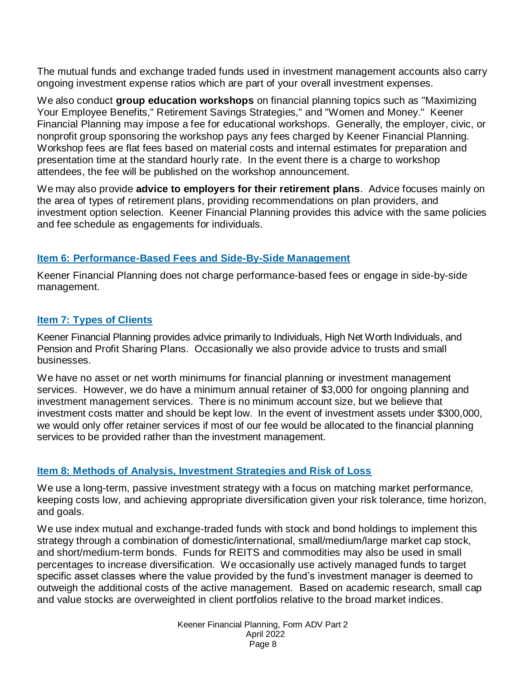The mutual funds and exchange traded funds used in investment management accounts also carry ongoing investment expense ratios which are part of your overall investment expenses.

We also conduct **group education workshops** on financial planning topics such as "Maximizing Your Employee Benefits," Retirement Savings Strategies," and "Women and Money." Keener Financial Planning may impose a fee for educational workshops. Generally, the employer, civic, or nonprofit group sponsoring the workshop pays any fees charged by Keener Financial Planning. Workshop fees are flat fees based on material costs and internal estimates for preparation and presentation time at the standard hourly rate. In the event there is a charge to workshop attendees, the fee will be published on the workshop announcement.

We may also provide **advice to employers for their retirement plans**. Advice focuses mainly on the area of types of retirement plans, providing recommendations on plan providers, and investment option selection. Keener Financial Planning provides this advice with the same policies and fee schedule as engagements for individuals.

#### <span id="page-7-0"></span>**Item 6: Performance-Based Fees and Side-By-Side Management**

Keener Financial Planning does not charge performance-based fees or engage in side-by-side management.

#### <span id="page-7-1"></span>**Item 7: Types of Clients**

Keener Financial Planning provides advice primarily to Individuals, High Net Worth Individuals, and Pension and Profit Sharing Plans. Occasionally we also provide advice to trusts and small businesses.

We have no asset or net worth minimums for financial planning or investment management services. However, we do have a minimum annual retainer of \$3,000 for ongoing planning and investment management services. There is no minimum account size, but we believe that investment costs matter and should be kept low. In the event of investment assets under \$300,000, we would only offer retainer services if most of our fee would be allocated to the financial planning services to be provided rather than the investment management.

## <span id="page-7-2"></span>**Item 8: Methods of Analysis, Investment Strategies and Risk of Loss**

We use a long-term, passive investment strategy with a focus on matching market performance, keeping costs low, and achieving appropriate diversification given your risk tolerance, time horizon, and goals.

We use index mutual and exchange-traded funds with stock and bond holdings to implement this strategy through a combination of domestic/international, small/medium/large market cap stock, and short/medium-term bonds. Funds for REITS and commodities may also be used in small percentages to increase diversification. We occasionally use actively managed funds to target specific asset classes where the value provided by the fund's investment manager is deemed to outweigh the additional costs of the active management. Based on academic research, small cap and value stocks are overweighted in client portfolios relative to the broad market indices.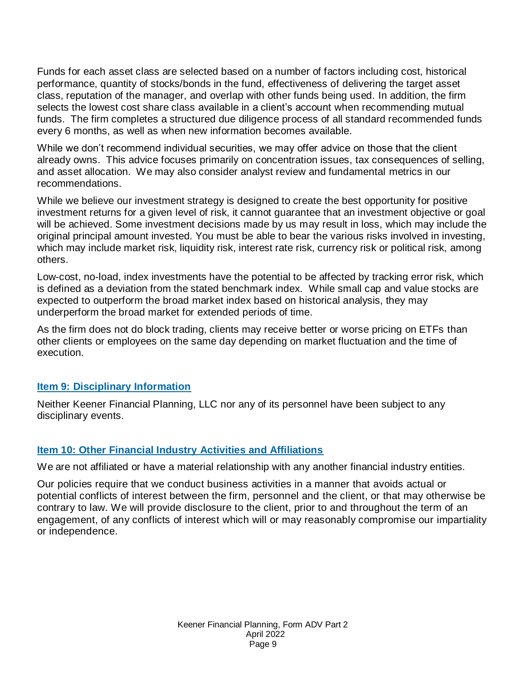Funds for each asset class are selected based on a number of factors including cost, historical performance, quantity of stocks/bonds in the fund, effectiveness of delivering the target asset class, reputation of the manager, and overlap with other funds being used. In addition, the firm selects the lowest cost share class available in a client's account when recommending mutual funds. The firm completes a structured due diligence process of all standard recommended funds every 6 months, as well as when new information becomes available.

While we don't recommend individual securities, we may offer advice on those that the client already owns. This advice focuses primarily on concentration issues, tax consequences of selling, and asset allocation. We may also consider analyst review and fundamental metrics in our recommendations.

While we believe our investment strategy is designed to create the best opportunity for positive investment returns for a given level of risk, it cannot guarantee that an investment objective or goal will be achieved. Some investment decisions made by us may result in loss, which may include the original principal amount invested. You must be able to bear the various risks involved in investing, which may include market risk, liquidity risk, interest rate risk, currency risk or political risk, among others.

Low-cost, no-load, index investments have the potential to be affected by tracking error risk, which is defined as a deviation from the stated benchmark index. While small cap and value stocks are expected to outperform the broad market index based on historical analysis, they may underperform the broad market for extended periods of time.

As the firm does not do block trading, clients may receive better or worse pricing on ETFs than other clients or employees on the same day depending on market fluctuation and the time of execution.

#### <span id="page-8-0"></span>**Item 9: Disciplinary Information**

Neither Keener Financial Planning, LLC nor any of its personnel have been subject to any disciplinary events.

#### <span id="page-8-1"></span>**Item 10: Other Financial Industry Activities and Affiliations**

We are not affiliated or have a material relationship with any another financial industry entities.

Our policies require that we conduct business activities in a manner that avoids actual or potential conflicts of interest between the firm, personnel and the client, or that may otherwise be contrary to law. We will provide disclosure to the client, prior to and throughout the term of an engagement, of any conflicts of interest which will or may reasonably compromise our impartiality or independence.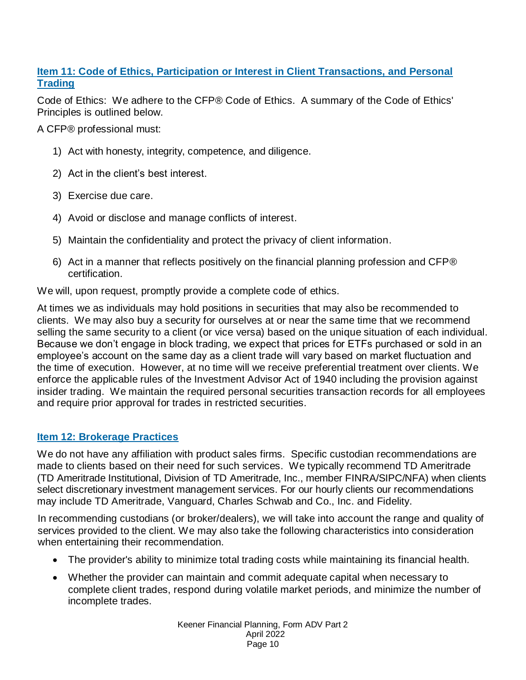## <span id="page-9-0"></span>**Item 11: Code of Ethics, Participation or Interest in Client Transactions, and Personal Trading**

Code of Ethics: We adhere to the CFP® Code of Ethics. A summary of the Code of Ethics' Principles is outlined below.

A CFP® professional must:

- 1) Act with honesty, integrity, competence, and diligence.
- 2) Act in the client's best interest.
- 3) Exercise due care.
- 4) Avoid or disclose and manage conflicts of interest.
- 5) Maintain the confidentiality and protect the privacy of client information.
- 6) Act in a manner that reflects positively on the financial planning profession and CFP® certification.

We will, upon request, promptly provide a complete code of ethics.

At times we as individuals may hold positions in securities that may also be recommended to clients. We may also buy a security for ourselves at or near the same time that we recommend selling the same security to a client (or vice versa) based on the unique situation of each individual. Because we don't engage in block trading, we expect that prices for ETFs purchased or sold in an employee's account on the same day as a client trade will vary based on market fluctuation and the time of execution. However, at no time will we receive preferential treatment over clients. We enforce the applicable rules of the Investment Advisor Act of 1940 including the provision against insider trading. We maintain the required personal securities transaction records for all employees and require prior approval for trades in restricted securities.

## <span id="page-9-1"></span>**Item 12: Brokerage Practices**

We do not have any affiliation with product sales firms. Specific custodian recommendations are made to clients based on their need for such services. We typically recommend TD Ameritrade (TD Ameritrade Institutional, Division of TD Ameritrade, Inc., member FINRA/SIPC/NFA) when clients select discretionary investment management services. For our hourly clients our recommendations may include TD Ameritrade, Vanguard, Charles Schwab and Co., Inc. and Fidelity.

In recommending custodians (or broker/dealers), we will take into account the range and quality of services provided to the client. We may also take the following characteristics into consideration when entertaining their recommendation.

- The provider's ability to minimize total trading costs while maintaining its financial health.
- Whether the provider can maintain and commit adequate capital when necessary to complete client trades, respond during volatile market periods, and minimize the number of incomplete trades.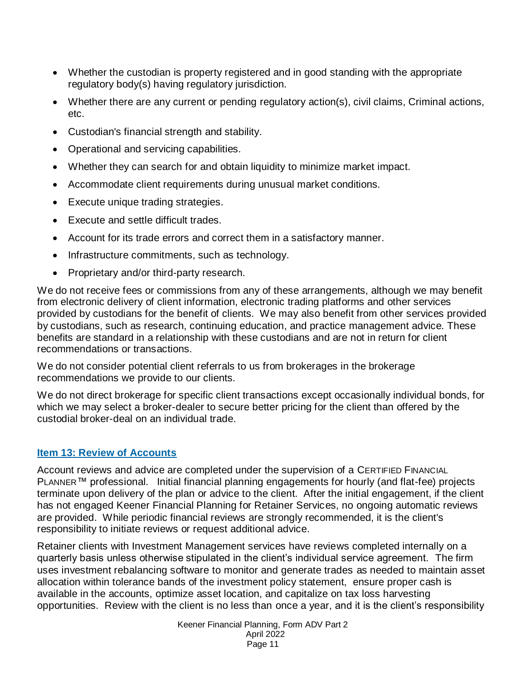- Whether the custodian is property registered and in good standing with the appropriate regulatory body(s) having regulatory jurisdiction.
- Whether there are any current or pending regulatory action(s), civil claims, Criminal actions, etc.
- Custodian's financial strength and stability.
- Operational and servicing capabilities.
- Whether they can search for and obtain liquidity to minimize market impact.
- Accommodate client requirements during unusual market conditions.
- Execute unique trading strategies.
- Execute and settle difficult trades.
- Account for its trade errors and correct them in a satisfactory manner.
- Infrastructure commitments, such as technology.
- Proprietary and/or third-party research.

We do not receive fees or commissions from any of these arrangements, although we may benefit from electronic delivery of client information, electronic trading platforms and other services provided by custodians for the benefit of clients. We may also benefit from other services provided by custodians, such as research, continuing education, and practice management advice. These benefits are standard in a relationship with these custodians and are not in return for client recommendations or transactions.

We do not consider potential client referrals to us from brokerages in the brokerage recommendations we provide to our clients.

We do not direct brokerage for specific client transactions except occasionally individual bonds, for which we may select a broker-dealer to secure better pricing for the client than offered by the custodial broker-deal on an individual trade.

#### <span id="page-10-0"></span>**Item 13: Review of Accounts**

Account reviews and advice are completed under the supervision of a CERTIFIED FINANCIAL PLANNER<sup>™</sup> professional. Initial financial planning engagements for hourly (and flat-fee) projects terminate upon delivery of the plan or advice to the client. After the initial engagement, if the client has not engaged Keener Financial Planning for Retainer Services, no ongoing automatic reviews are provided. While periodic financial reviews are strongly recommended, it is the client's responsibility to initiate reviews or request additional advice.

Retainer clients with Investment Management services have reviews completed internally on a quarterly basis unless otherwise stipulated in the client's individual service agreement. The firm uses investment rebalancing software to monitor and generate trades as needed to maintain asset allocation within tolerance bands of the investment policy statement, ensure proper cash is available in the accounts, optimize asset location, and capitalize on tax loss harvesting opportunities. Review with the client is no less than once a year, and it is the client's responsibility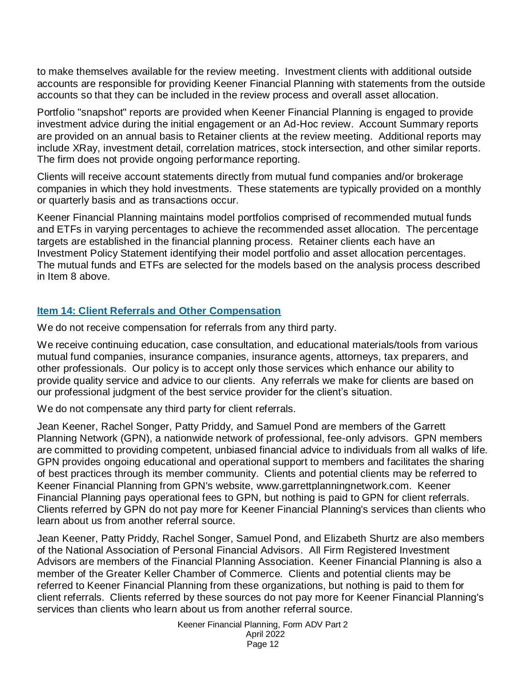to make themselves available for the review meeting. Investment clients with additional outside accounts are responsible for providing Keener Financial Planning with statements from the outside accounts so that they can be included in the review process and overall asset allocation.

Portfolio "snapshot" reports are provided when Keener Financial Planning is engaged to provide investment advice during the initial engagement or an Ad-Hoc review. Account Summary reports are provided on an annual basis to Retainer clients at the review meeting. Additional reports may include XRay, investment detail, correlation matrices, stock intersection, and other similar reports. The firm does not provide ongoing performance reporting.

Clients will receive account statements directly from mutual fund companies and/or brokerage companies in which they hold investments. These statements are typically provided on a monthly or quarterly basis and as transactions occur.

Keener Financial Planning maintains model portfolios comprised of recommended mutual funds and ETFs in varying percentages to achieve the recommended asset allocation. The percentage targets are established in the financial planning process. Retainer clients each have an Investment Policy Statement identifying their model portfolio and asset allocation percentages. The mutual funds and ETFs are selected for the models based on the analysis process described in Item 8 above.

#### <span id="page-11-0"></span>**Item 14: Client Referrals and Other Compensation**

We do not receive compensation for referrals from any third party.

We receive continuing education, case consultation, and educational materials/tools from various mutual fund companies, insurance companies, insurance agents, attorneys, tax preparers, and other professionals. Our policy is to accept only those services which enhance our ability to provide quality service and advice to our clients. Any referrals we make for clients are based on our professional judgment of the best service provider for the client's situation.

We do not compensate any third party for client referrals.

Jean Keener, Rachel Songer, Patty Priddy, and Samuel Pond are members of the Garrett Planning Network (GPN), a nationwide network of professional, fee-only advisors. GPN members are committed to providing competent, unbiased financial advice to individuals from all walks of life. GPN provides ongoing educational and operational support to members and facilitates the sharing of best practices through its member community. Clients and potential clients may be referred to Keener Financial Planning from GPN's website, www.garrettplanningnetwork.com. Keener Financial Planning pays operational fees to GPN, but nothing is paid to GPN for client referrals. Clients referred by GPN do not pay more for Keener Financial Planning's services than clients who learn about us from another referral source.

Jean Keener, Patty Priddy, Rachel Songer, Samuel Pond, and Elizabeth Shurtz are also members of the National Association of Personal Financial Advisors. All Firm Registered Investment Advisors are members of the Financial Planning Association. Keener Financial Planning is also a member of the Greater Keller Chamber of Commerce. Clients and potential clients may be referred to Keener Financial Planning from these organizations, but nothing is paid to them for client referrals. Clients referred by these sources do not pay more for Keener Financial Planning's services than clients who learn about us from another referral source.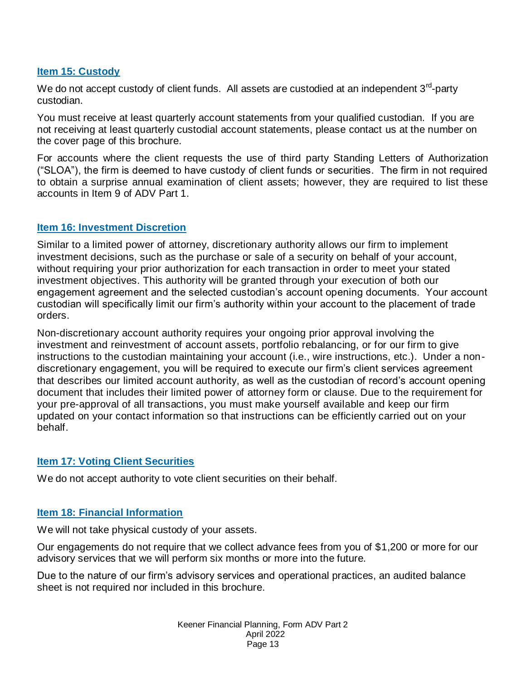#### <span id="page-12-0"></span>**Item 15: Custody**

We do not accept custody of client funds. All assets are custodied at an independent 3<sup>rd</sup>-party custodian.

You must receive at least quarterly account statements from your qualified custodian. If you are not receiving at least quarterly custodial account statements, please contact us at the number on the cover page of this brochure.

For accounts where the client requests the use of third party Standing Letters of Authorization (―SLOA‖), the firm is deemed to have custody of client funds or securities. The firm in not required to obtain a surprise annual examination of client assets; however, they are required to list these accounts in Item 9 of ADV Part 1.

#### <span id="page-12-1"></span>**Item 16: Investment Discretion**

Similar to a limited power of attorney, discretionary authority allows our firm to implement investment decisions, such as the purchase or sale of a security on behalf of your account, without requiring your prior authorization for each transaction in order to meet your stated investment objectives. This authority will be granted through your execution of both our engagement agreement and the selected custodian's account opening documents. Your account custodian will specifically limit our firm's authority within your account to the placement of trade orders.

Non-discretionary account authority requires your ongoing prior approval involving the investment and reinvestment of account assets, portfolio rebalancing, or for our firm to give instructions to the custodian maintaining your account (i.e., wire instructions, etc.). Under a nondiscretionary engagement, you will be required to execute our firm's client services agreement that describes our limited account authority, as well as the custodian of record's account opening document that includes their limited power of attorney form or clause. Due to the requirement for your pre-approval of all transactions, you must make yourself available and keep our firm updated on your contact information so that instructions can be efficiently carried out on your behalf.

#### <span id="page-12-2"></span>**Item 17: Voting Client Securities**

We do not accept authority to vote client securities on their behalf.

#### <span id="page-12-3"></span>**Item 18: Financial Information**

We will not take physical custody of your assets.

Our engagements do not require that we collect advance fees from you of \$1,200 or more for our advisory services that we will perform six months or more into the future.

Due to the nature of our firm's advisory services and operational practices, an audited balance sheet is not required nor included in this brochure.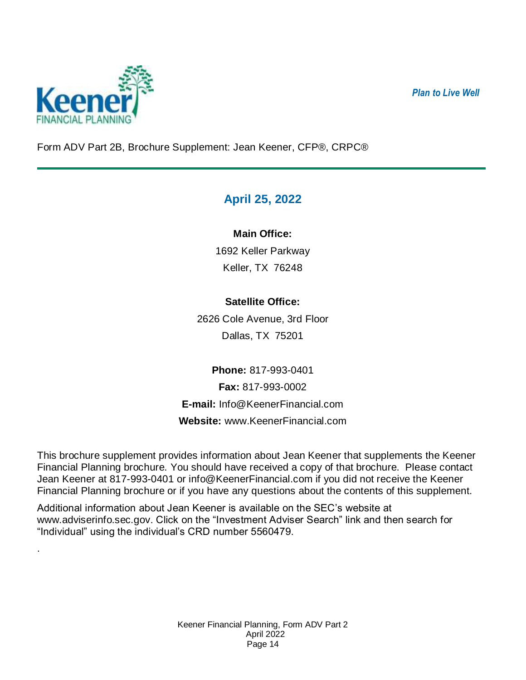*Plan to Live Well*



.

<span id="page-13-0"></span>Form ADV Part 2B, Brochure Supplement: Jean Keener, CFP®, CRPC®

# **April 25, 2022**

## **Main Office:**

1692 Keller Parkway Keller, TX 76248

## **Satellite Office:**

2626 Cole Avenue, 3rd Floor Dallas, TX 75201

**Phone:** 817-993-0401 **Fax:** 817-993-0002 **E-mail:** [Info@KeenerFinancial.com](mailto:Info@KeenerFinancial.com) **Website:** [www.KeenerFinancial.com](http://www.keenerfinancial.com/)

This brochure supplement provides information about Jean Keener that supplements the Keener Financial Planning brochure. You should have received a copy of that brochure. Please contact Jean Keener at 817-993-0401 or [info@KeenerFinancial.com](mailto:info@KeenerFinancial.com) if you did not receive the Keener Financial Planning brochure or if you have any questions about the contents of this supplement.

Additional information about Jean Keener is available on the SEC's website at [www.adviserinfo.sec.gov.](http://www.adviserinfo.sec.gov/) Click on the "Investment Adviser Search" link and then search for "Individual" using the individual's CRD number 5560479.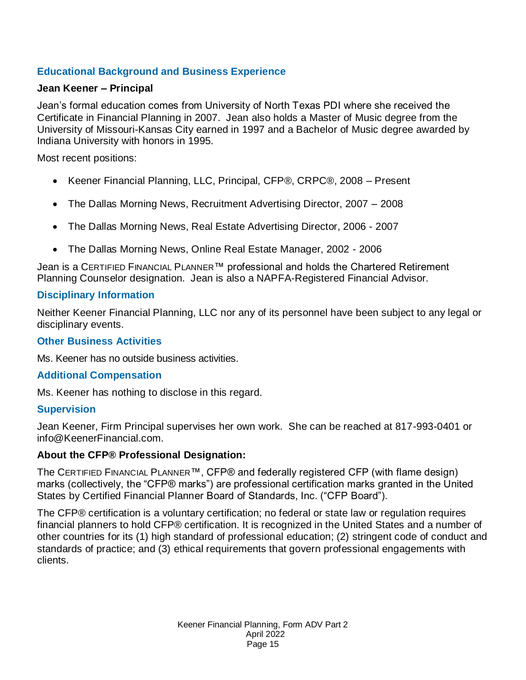## **Educational Background and Business Experience**

#### **Jean Keener – Principal**

Jean's formal education comes from University of North Texas PDI where she received the Certificate in Financial Planning in 2007. Jean also holds a Master of Music degree from the University of Missouri-Kansas City earned in 1997 and a Bachelor of Music degree awarded by Indiana University with honors in 1995.

Most recent positions:

- Keener Financial Planning, LLC, Principal, CFP®, CRPC®, 2008 Present
- The Dallas Morning News, Recruitment Advertising Director, 2007 2008
- The Dallas Morning News, Real Estate Advertising Director, 2006 2007
- The Dallas Morning News, Online Real Estate Manager, 2002 2006

Jean is a CERTIFIED FINANCIAL PLANNER<sup>™</sup> professional and holds the Chartered Retirement Planning Counselor designation. Jean is also a NAPFA-Registered Financial Advisor.

#### **Disciplinary Information**

Neither Keener Financial Planning, LLC nor any of its personnel have been subject to any legal or disciplinary events.

#### **Other Business Activities**

Ms. Keener has no outside business activities.

#### **Additional Compensation**

Ms. Keener has nothing to disclose in this regard.

#### **Supervision**

Jean Keener, Firm Principal supervises her own work. She can be reached at 817-993-0401 or [info@KeenerFinancial.com.](mailto:info@KeenerFinancial.com)

#### **About the CFP® Professional Designation:**

The CERTIFIED FINANCIAL PLANNER™, CFP® and federally registered CFP (with flame design) marks (collectively, the "CFP® marks") are professional certification marks granted in the United States by Certified Financial Planner Board of Standards, Inc. ("CFP Board").

The CFP® certification is a voluntary certification; no federal or state law or regulation requires financial planners to hold CFP® certification. It is recognized in the United States and a number of other countries for its (1) high standard of professional education; (2) stringent code of conduct and standards of practice; and (3) ethical requirements that govern professional engagements with clients.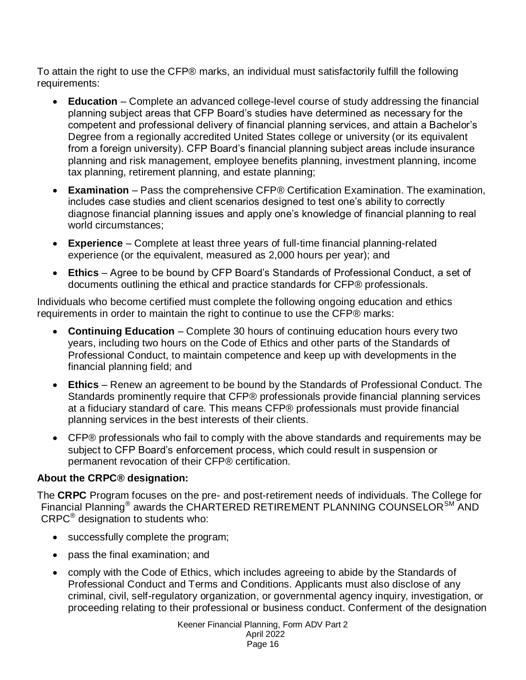To attain the right to use the CFP® marks, an individual must satisfactorily fulfill the following requirements:

- **Education** Complete an advanced college-level course of study addressing the financial planning subject areas that CFP Board's studies have determined as necessary for the competent and professional delivery of financial planning services, and attain a Bachelor's Degree from a regionally accredited United States college or university (or its equivalent from a foreign university). CFP Board's financial planning subject areas include insurance planning and risk management, employee benefits planning, investment planning, income tax planning, retirement planning, and estate planning;
- **Examination** Pass the comprehensive CFP® Certification Examination. The examination, includes case studies and client scenarios designed to test one's ability to correctly diagnose financial planning issues and apply one's knowledge of financial planning to real world circumstances;
- **Experience** Complete at least three years of full-time financial planning-related experience (or the equivalent, measured as 2,000 hours per year); and
- **Ethics** Agree to be bound by CFP Board's Standards of Professional Conduct, a set of documents outlining the ethical and practice standards for CFP® professionals.

Individuals who become certified must complete the following ongoing education and ethics requirements in order to maintain the right to continue to use the CFP® marks:

- **Continuing Education** Complete 30 hours of continuing education hours every two years, including two hours on the Code of Ethics and other parts of the Standards of Professional Conduct, to maintain competence and keep up with developments in the financial planning field; and
- **Ethics** Renew an agreement to be bound by the Standards of Professional Conduct. The Standards prominently require that CFP® professionals provide financial planning services at a fiduciary standard of care. This means CFP® professionals must provide financial planning services in the best interests of their clients.
- CFP® professionals who fail to comply with the above standards and requirements may be subject to CFP Board's enforcement process, which could result in suspension or permanent revocation of their CFP® certification.

## **About the CRPC® designation:**

The **CRPC** Program focuses on the pre- and post-retirement needs of individuals. The College for Financial Planning<sup>®</sup> awards the CHARTERED RETIREMENT PLANNING COUNSELOR<sup>SM</sup> AND CRPC® designation to students who:

- successfully complete the program;
- pass the final examination; and
- comply with the Code of Ethics, which includes agreeing to abide by the Standards of Professional Conduct and Terms and Conditions. Applicants must also disclose of any criminal, civil, self-regulatory organization, or governmental agency inquiry, investigation, or proceeding relating to their professional or business conduct. Conferment of the designation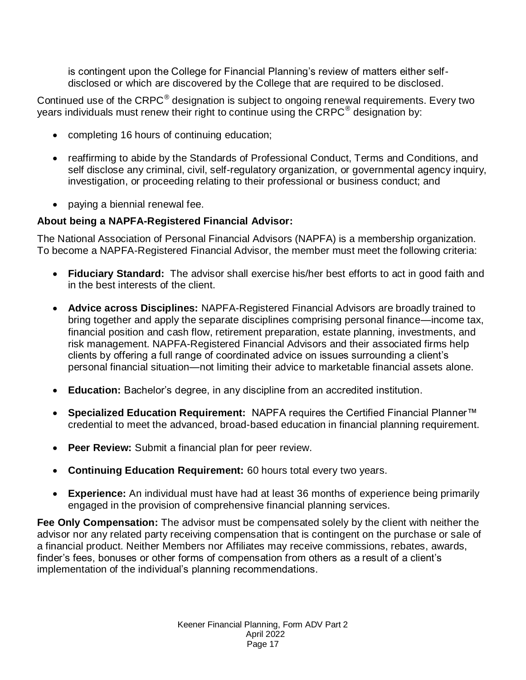is contingent upon the College for Financial Planning's review of matters either selfdisclosed or which are discovered by the College that are required to be disclosed.

Continued use of the CRPC $^{\circ}$  designation is subject to ongoing renewal requirements. Every two years individuals must renew their right to continue using the  $\mathsf{CRPC}^{\circledast}$  designation by:

- completing 16 hours of continuing education;
- reaffirming to abide by the Standards of Professional Conduct, Terms and Conditions, and self disclose any criminal, civil, self-regulatory organization, or governmental agency inquiry, investigation, or proceeding relating to their professional or business conduct; and
- paying a biennial renewal fee.

#### **About being a NAPFA-Registered Financial Advisor:**

The National Association of Personal Financial Advisors (NAPFA) is a membership organization. To become a NAPFA-Registered Financial Advisor, the member must meet the following criteria:

- **Fiduciary Standard:** The advisor shall exercise his/her best efforts to act in good faith and in the best interests of the client.
- **Advice across Disciplines:** NAPFA-Registered Financial Advisors are broadly trained to bring together and apply the separate disciplines comprising personal finance—income tax, financial position and cash flow, retirement preparation, estate planning, investments, and risk management. NAPFA-Registered Financial Advisors and their associated firms help clients by offering a full range of coordinated advice on issues surrounding a client's personal financial situation—not limiting their advice to marketable financial assets alone.
- **Education:** Bachelor's degree, in any discipline from an accredited institution.
- **Specialized Education Requirement:** NAPFA requires the Certified Financial Planner™ credential to meet the advanced, broad-based education in financial planning requirement.
- **Peer Review:** Submit a financial plan for peer review.
- **Continuing Education Requirement:** 60 hours total every two years.
- **Experience:** An individual must have had at least 36 months of experience being primarily engaged in the provision of comprehensive financial planning services.

**Fee Only Compensation:** The advisor must be compensated solely by the client with neither the advisor nor any related party receiving compensation that is contingent on the purchase or sale of a financial product. Neither Members nor Affiliates may receive commissions, rebates, awards, finder's fees, bonuses or other forms of compensation from others as a result of a client's implementation of the individual's planning recommendations.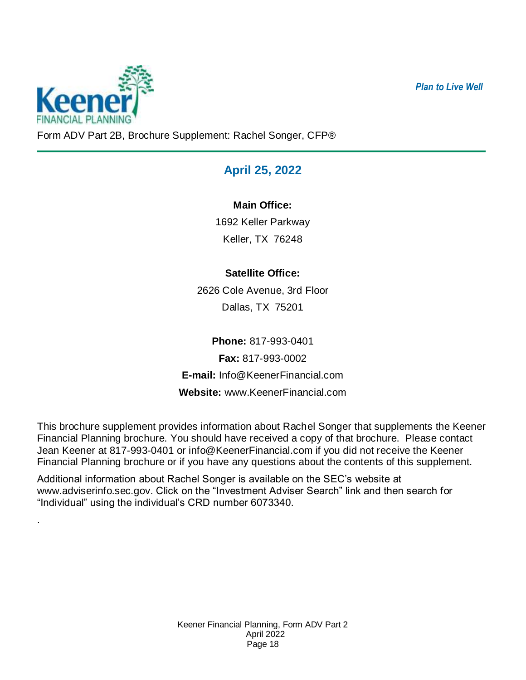*Plan to Live Well*



.

<span id="page-17-0"></span>Form ADV Part 2B, Brochure Supplement: Rachel Songer, CFP®

# **April 25, 2022**

## **Main Office:**

1692 Keller Parkway Keller, TX 76248

# **Satellite Office:**

2626 Cole Avenue, 3rd Floor Dallas, TX 75201

**Phone:** 817-993-0401 **Fax:** 817-993-0002 **E-mail:** [Info@KeenerFinancial.com](mailto:Info@KeenerFinancial.com) **Website:** [www.KeenerFinancial.com](http://www.keenerfinancial.com/)

This brochure supplement provides information about Rachel Songer that supplements the Keener Financial Planning brochure. You should have received a copy of that brochure. Please contact Jean Keener at 817-993-0401 or [info@KeenerFinancial.com](mailto:info@KeenerFinancial.com) if you did not receive the Keener Financial Planning brochure or if you have any questions about the contents of this supplement.

Additional information about Rachel Songer is available on the SEC's website at [www.adviserinfo.sec.gov.](http://www.adviserinfo.sec.gov/) Click on the "Investment Adviser Search" link and then search for "Individual" using the individual's CRD number 6073340.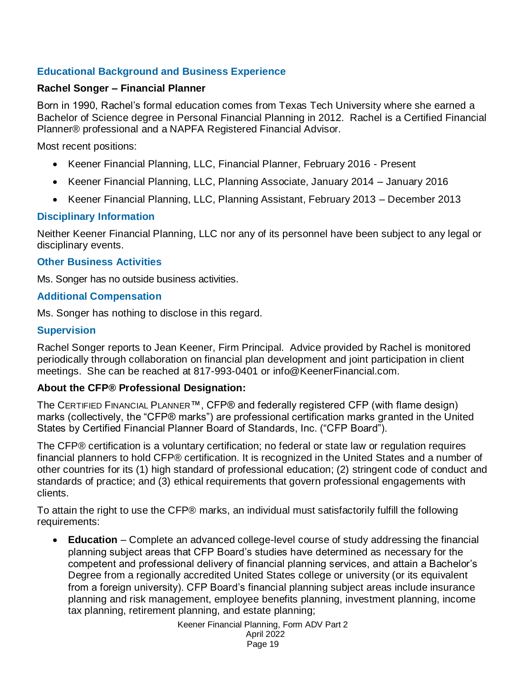## **Educational Background and Business Experience**

#### **Rachel Songer – Financial Planner**

Born in 1990, Rachel's formal education comes from Texas Tech University where she earned a Bachelor of Science degree in Personal Financial Planning in 2012. Rachel is a Certified Financial Planner® professional and a NAPFA Registered Financial Advisor.

Most recent positions:

- Keener Financial Planning, LLC, Financial Planner, February 2016 Present
- Keener Financial Planning, LLC, Planning Associate, January 2014 January 2016
- Keener Financial Planning, LLC, Planning Assistant, February 2013 December 2013

## **Disciplinary Information**

Neither Keener Financial Planning, LLC nor any of its personnel have been subject to any legal or disciplinary events.

#### **Other Business Activities**

Ms. Songer has no outside business activities.

#### **Additional Compensation**

Ms. Songer has nothing to disclose in this regard.

#### **Supervision**

Rachel Songer reports to Jean Keener, Firm Principal. Advice provided by Rachel is monitored periodically through collaboration on financial plan development and joint participation in client meetings. She can be reached at 817-993-0401 or [info@KeenerFinancial.com.](mailto:info@KeenerFinancial.com)

## **About the CFP® Professional Designation:**

The CERTIFIED FINANCIAL PLANNER™, CFP® and federally registered CFP (with flame design) marks (collectively, the "CFP® marks") are professional certification marks granted in the United States by Certified Financial Planner Board of Standards, Inc. ("CFP Board").

The CFP® certification is a voluntary certification; no federal or state law or regulation requires financial planners to hold CFP® certification. It is recognized in the United States and a number of other countries for its (1) high standard of professional education; (2) stringent code of conduct and standards of practice; and (3) ethical requirements that govern professional engagements with clients.

To attain the right to use the CFP® marks, an individual must satisfactorily fulfill the following requirements:

 **Education** – Complete an advanced college-level course of study addressing the financial planning subject areas that CFP Board's studies have determined as necessary for the competent and professional delivery of financial planning services, and attain a Bachelor's Degree from a regionally accredited United States college or university (or its equivalent from a foreign university). CFP Board's financial planning subject areas include insurance planning and risk management, employee benefits planning, investment planning, income tax planning, retirement planning, and estate planning;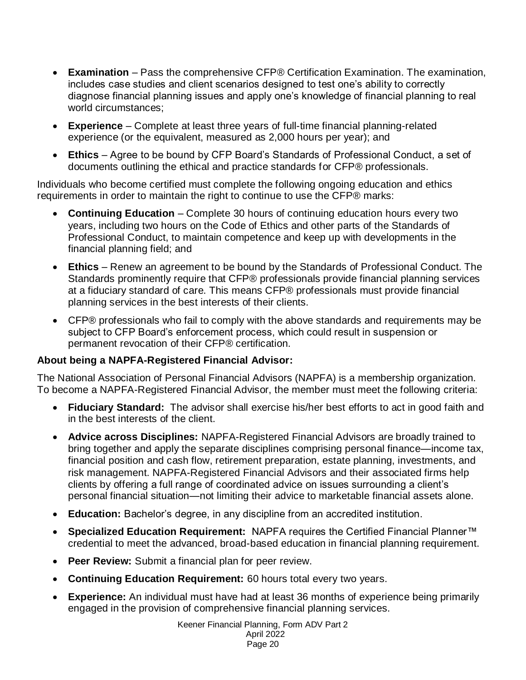- **Examination** Pass the comprehensive CFP® Certification Examination. The examination, includes case studies and client scenarios designed to test one's ability to correctly diagnose financial planning issues and apply one's knowledge of financial planning to real world circumstances;
- **Experience** Complete at least three years of full-time financial planning-related experience (or the equivalent, measured as 2,000 hours per year); and
- **Ethics** Agree to be bound by CFP Board's Standards of Professional Conduct, a set of documents outlining the ethical and practice standards for CFP® professionals.

Individuals who become certified must complete the following ongoing education and ethics requirements in order to maintain the right to continue to use the CFP® marks:

- **Continuing Education** Complete 30 hours of continuing education hours every two years, including two hours on the Code of Ethics and other parts of the Standards of Professional Conduct, to maintain competence and keep up with developments in the financial planning field; and
- **Ethics** Renew an agreement to be bound by the Standards of Professional Conduct. The Standards prominently require that CFP® professionals provide financial planning services at a fiduciary standard of care. This means CFP® professionals must provide financial planning services in the best interests of their clients.
- CFP® professionals who fail to comply with the above standards and requirements may be subject to CFP Board's enforcement process, which could result in suspension or permanent revocation of their CFP® certification.

## **About being a NAPFA-Registered Financial Advisor:**

The National Association of Personal Financial Advisors (NAPFA) is a membership organization. To become a NAPFA-Registered Financial Advisor, the member must meet the following criteria:

- **Fiduciary Standard:** The advisor shall exercise his/her best efforts to act in good faith and in the best interests of the client.
- **Advice across Disciplines:** NAPFA-Registered Financial Advisors are broadly trained to bring together and apply the separate disciplines comprising personal finance—income tax, financial position and cash flow, retirement preparation, estate planning, investments, and risk management. NAPFA-Registered Financial Advisors and their associated firms help clients by offering a full range of coordinated advice on issues surrounding a client's personal financial situation—not limiting their advice to marketable financial assets alone.
- **Education:** Bachelor's degree, in any discipline from an accredited institution.
- **Specialized Education Requirement:** NAPFA requires the Certified Financial Planner™ credential to meet the advanced, broad-based education in financial planning requirement.
- **Peer Review:** Submit a financial plan for peer review.
- **Continuing Education Requirement:** 60 hours total every two years.
- **Experience:** An individual must have had at least 36 months of experience being primarily engaged in the provision of comprehensive financial planning services.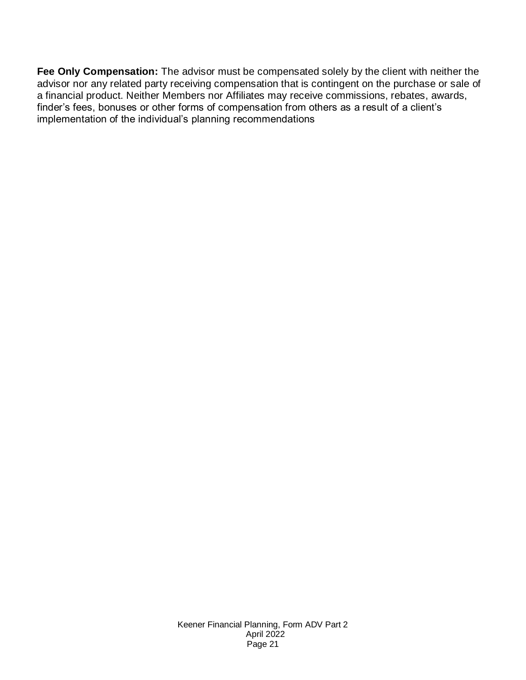**Fee Only Compensation:** The advisor must be compensated solely by the client with neither the advisor nor any related party receiving compensation that is contingent on the purchase or sale of a financial product. Neither Members nor Affiliates may receive commissions, rebates, awards, finder's fees, bonuses or other forms of compensation from others as a result of a client's implementation of the individual's planning recommendations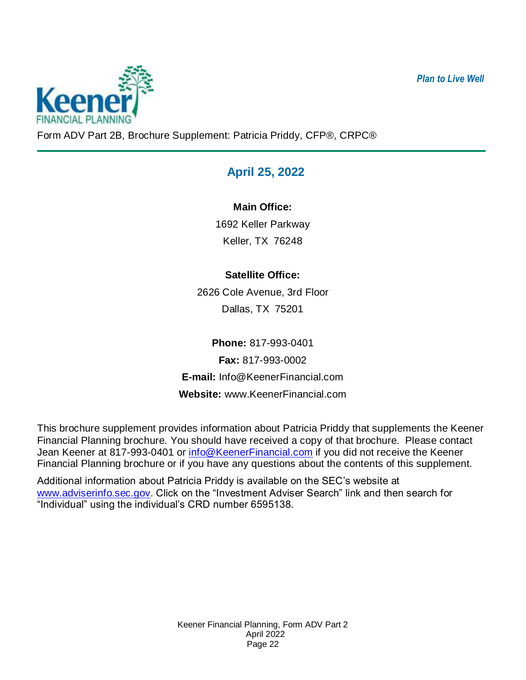*Plan to Live Well*



<span id="page-21-0"></span>Form ADV Part 2B, Brochure Supplement: Patricia Priddy, CFP®, CRPC®

# **April 25, 2022**

**Main Office:**

1692 Keller Parkway Keller, TX 76248

# **Satellite Office:**

2626 Cole Avenue, 3rd Floor Dallas, TX 75201

**Phone:** 817-993-0401 **Fax:** 817-993-0002 **E-mail:** Info@KeenerFinancial.com **Website:** www.KeenerFinancial.com

This brochure supplement provides information about Patricia Priddy that supplements the Keener Financial Planning brochure. You should have received a copy of that brochure. Please contact Jean Keener at 817-993-0401 or [info@KeenerFinancial.com](mailto:info@KeenerFinancial.com) if you did not receive the Keener Financial Planning brochure or if you have any questions about the contents of this supplement.

Additional information about Patricia Priddy is available on the SEC's website at [www.adviserinfo.sec.gov.](http://www.adviserinfo.sec.gov/) Click on the "Investment Adviser Search" link and then search for "Individual" using the individual's CRD number 6595138.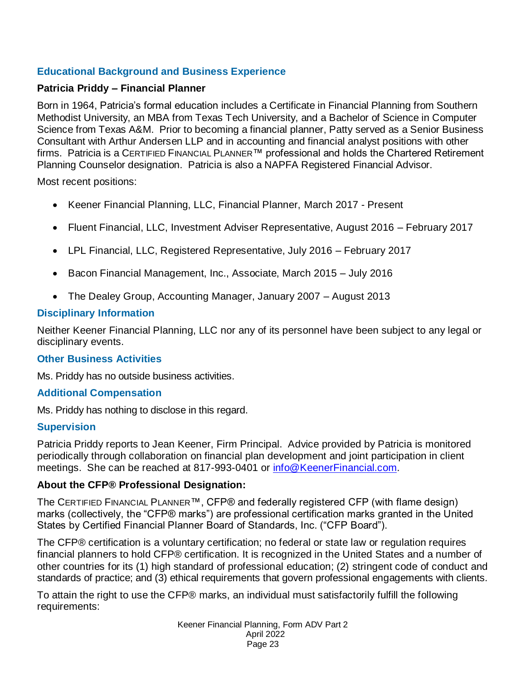## **Educational Background and Business Experience**

#### **Patricia Priddy – Financial Planner**

Born in 1964, Patricia's formal education includes a Certificate in Financial Planning from Southern Methodist University, an MBA from Texas Tech University, and a Bachelor of Science in Computer Science from Texas A&M. Prior to becoming a financial planner, Patty served as a Senior Business Consultant with Arthur Andersen LLP and in accounting and financial analyst positions with other firms. Patricia is a CERTIFIED FINANCIAL PLANNER™ professional and holds the Chartered Retirement Planning Counselor designation. Patricia is also a NAPFA Registered Financial Advisor.

Most recent positions:

- Keener Financial Planning, LLC, Financial Planner, March 2017 Present
- Fluent Financial, LLC, Investment Adviser Representative, August 2016 February 2017
- LPL Financial, LLC, Registered Representative, July 2016 February 2017
- Bacon Financial Management, Inc., Associate, March 2015 July 2016
- The Dealey Group, Accounting Manager, January 2007 August 2013

#### **Disciplinary Information**

Neither Keener Financial Planning, LLC nor any of its personnel have been subject to any legal or disciplinary events.

#### **Other Business Activities**

Ms. Priddy has no outside business activities.

#### **Additional Compensation**

Ms. Priddy has nothing to disclose in this regard.

#### **Supervision**

Patricia Priddy reports to Jean Keener, Firm Principal. Advice provided by Patricia is monitored periodically through collaboration on financial plan development and joint participation in client meetings. She can be reached at 817-993-0401 or [info@KeenerFinancial.com.](mailto:info@KeenerFinancial.com)

#### **About the CFP® Professional Designation:**

The CERTIFIED FINANCIAL PLANNER™, CFP® and federally registered CFP (with flame design) marks (collectively, the "CFP® marks") are professional certification marks granted in the United States by Certified Financial Planner Board of Standards, Inc. ("CFP Board").

The CFP® certification is a voluntary certification; no federal or state law or regulation requires financial planners to hold CFP® certification. It is recognized in the United States and a number of other countries for its (1) high standard of professional education; (2) stringent code of conduct and standards of practice; and (3) ethical requirements that govern professional engagements with clients.

To attain the right to use the CFP® marks, an individual must satisfactorily fulfill the following requirements: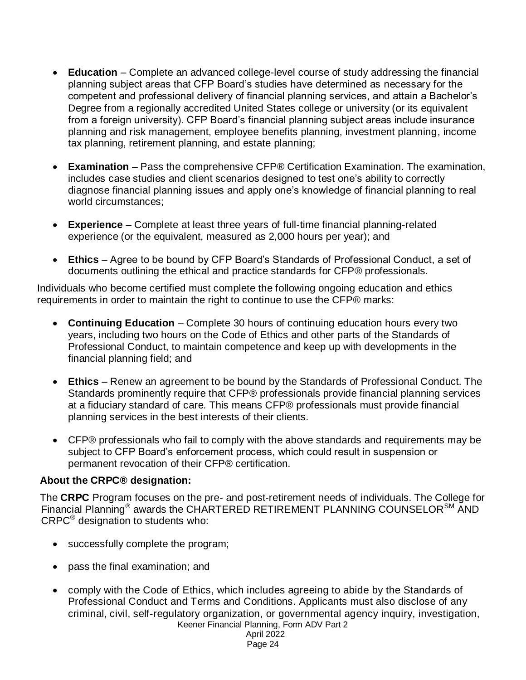- **Education** Complete an advanced college-level course of study addressing the financial planning subject areas that CFP Board's studies have determined as necessary for the competent and professional delivery of financial planning services, and attain a Bachelor's Degree from a regionally accredited United States college or university (or its equivalent from a foreign university). CFP Board's financial planning subject areas include insurance planning and risk management, employee benefits planning, investment planning, income tax planning, retirement planning, and estate planning;
- **Examination** Pass the comprehensive CFP® Certification Examination. The examination, includes case studies and client scenarios designed to test one's ability to correctly diagnose financial planning issues and apply one's knowledge of financial planning to real world circumstances;
- **Experience** Complete at least three years of full-time financial planning-related experience (or the equivalent, measured as 2,000 hours per year); and
- **Ethics** Agree to be bound by CFP Board's Standards of Professional Conduct, a set of documents outlining the ethical and practice standards for CFP® professionals.

Individuals who become certified must complete the following ongoing education and ethics requirements in order to maintain the right to continue to use the CFP® marks:

- **Continuing Education** Complete 30 hours of continuing education hours every two years, including two hours on the Code of Ethics and other parts of the Standards of Professional Conduct, to maintain competence and keep up with developments in the financial planning field; and
- **Ethics** Renew an agreement to be bound by the Standards of Professional Conduct. The Standards prominently require that CFP® professionals provide financial planning services at a fiduciary standard of care. This means CFP® professionals must provide financial planning services in the best interests of their clients.
- CFP® professionals who fail to comply with the above standards and requirements may be subject to CFP Board's enforcement process, which could result in suspension or permanent revocation of their CFP® certification.

## **About the CRPC® designation:**

The **CRPC** Program focuses on the pre- and post-retirement needs of individuals. The College for Financial Planning<sup>®</sup> awards the CHARTERED RETIREMENT PLANNING COUNSELOR<sup>SM</sup> AND CRPC® designation to students who:

- successfully complete the program;
- pass the final examination; and
- Keener Financial Planning, Form ADV Part 2 comply with the Code of Ethics, which includes agreeing to abide by the Standards of Professional Conduct and Terms and Conditions. Applicants must also disclose of any criminal, civil, self-regulatory organization, or governmental agency inquiry, investigation,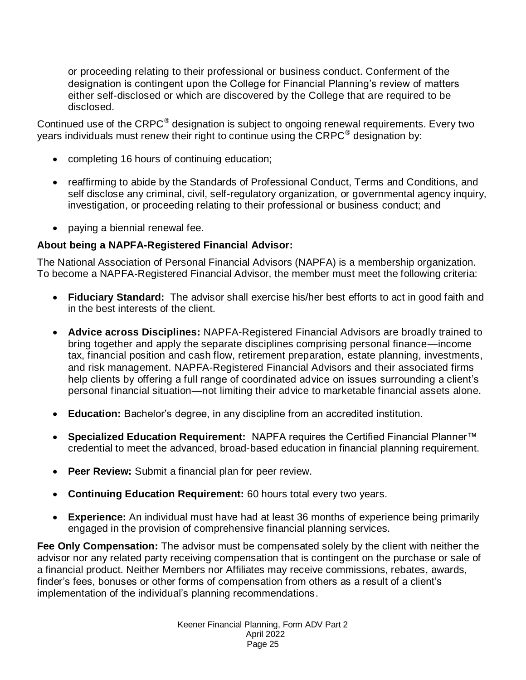or proceeding relating to their professional or business conduct. Conferment of the designation is contingent upon the College for Financial Planning's review of matters either self-disclosed or which are discovered by the College that are required to be disclosed.

Continued use of the CRPC $^{\circ}$  designation is subject to ongoing renewal requirements. Every two years individuals must renew their right to continue using the  $\mathsf{CRPC}^\circledast$  designation by:

- completing 16 hours of continuing education;
- reaffirming to abide by the Standards of Professional Conduct, Terms and Conditions, and self disclose any criminal, civil, self-regulatory organization, or governmental agency inquiry, investigation, or proceeding relating to their professional or business conduct; and
- paying a biennial renewal fee.

#### **About being a NAPFA-Registered Financial Advisor:**

The National Association of Personal Financial Advisors (NAPFA) is a membership organization. To become a NAPFA-Registered Financial Advisor, the member must meet the following criteria:

- **Fiduciary Standard:** The advisor shall exercise his/her best efforts to act in good faith and in the best interests of the client.
- **Advice across Disciplines:** NAPFA-Registered Financial Advisors are broadly trained to bring together and apply the separate disciplines comprising personal finance—income tax, financial position and cash flow, retirement preparation, estate planning, investments, and risk management. NAPFA-Registered Financial Advisors and their associated firms help clients by offering a full range of coordinated advice on issues surrounding a client's personal financial situation—not limiting their advice to marketable financial assets alone.
- **Education:** Bachelor's degree, in any discipline from an accredited institution.
- **Specialized Education Requirement:** NAPFA requires the Certified Financial Planner™ credential to meet the advanced, broad-based education in financial planning requirement.
- **Peer Review:** Submit a financial plan for peer review.
- **Continuing Education Requirement:** 60 hours total every two years.
- **Experience:** An individual must have had at least 36 months of experience being primarily engaged in the provision of comprehensive financial planning services.

**Fee Only Compensation:** The advisor must be compensated solely by the client with neither the advisor nor any related party receiving compensation that is contingent on the purchase or sale of a financial product. Neither Members nor Affiliates may receive commissions, rebates, awards, finder's fees, bonuses or other forms of compensation from others as a result of a client's implementation of the individual's planning recommendations.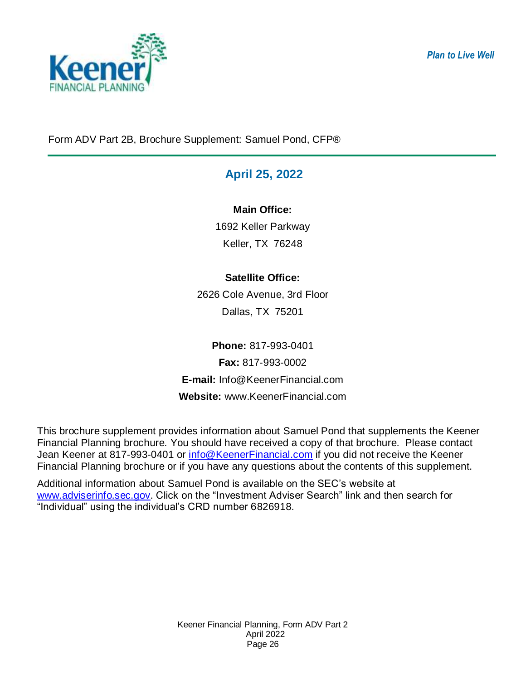

*Plan to Live Well*

<span id="page-25-0"></span>Form ADV Part 2B, Brochure Supplement: Samuel Pond, CFP®

# **April 25, 2022**

## **Main Office:**

1692 Keller Parkway Keller, TX 76248

# **Satellite Office:**

2626 Cole Avenue, 3rd Floor Dallas, TX 75201

**Phone:** 817-993-0401 **Fax:** 817-993-0002 **E-mail:** Info@KeenerFinancial.com **Website:** www.KeenerFinancial.com

This brochure supplement provides information about Samuel Pond that supplements the Keener Financial Planning brochure. You should have received a copy of that brochure. Please contact Jean Keener at 817-993-0401 or [info@KeenerFinancial.com](mailto:info@KeenerFinancial.com) if you did not receive the Keener Financial Planning brochure or if you have any questions about the contents of this supplement.

Additional information about Samuel Pond is available on the SEC's website at [www.adviserinfo.sec.gov.](http://www.adviserinfo.sec.gov/) Click on the "Investment Adviser Search" link and then search for "Individual" using the individual's CRD number 6826918.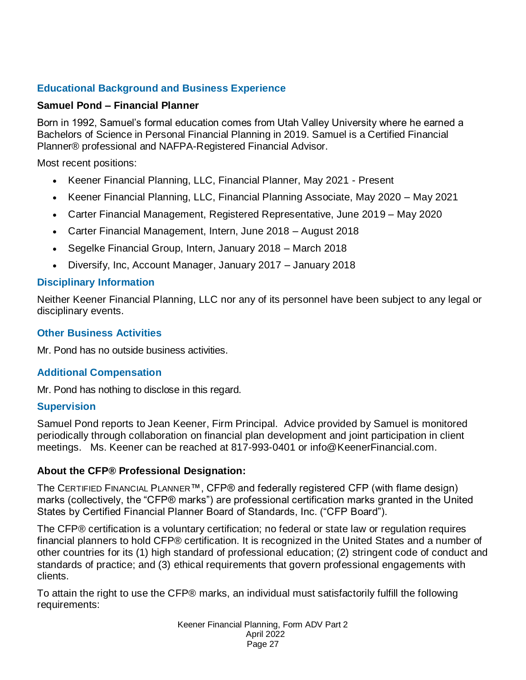## **Educational Background and Business Experience**

#### **Samuel Pond – Financial Planner**

Born in 1992, Samuel's formal education comes from Utah Valley University where he earned a Bachelors of Science in Personal Financial Planning in 2019. Samuel is a Certified Financial Planner® professional and NAFPA-Registered Financial Advisor.

Most recent positions:

- Keener Financial Planning, LLC, Financial Planner, May 2021 Present
- Keener Financial Planning, LLC, Financial Planning Associate, May 2020 May 2021
- Carter Financial Management, Registered Representative, June 2019 May 2020
- Carter Financial Management, Intern, June 2018 August 2018
- Segelke Financial Group, Intern, January 2018 March 2018
- Diversify, Inc, Account Manager, January 2017 January 2018

## **Disciplinary Information**

Neither Keener Financial Planning, LLC nor any of its personnel have been subject to any legal or disciplinary events.

#### **Other Business Activities**

Mr. Pond has no outside business activities.

## **Additional Compensation**

Mr. Pond has nothing to disclose in this regard.

#### **Supervision**

Samuel Pond reports to Jean Keener, Firm Principal. Advice provided by Samuel is monitored periodically through collaboration on financial plan development and joint participation in client meetings. Ms. Keener can be reached at 817-993-0401 or [info@KeenerFinancial.com.](mailto:info@KeenerFinancial.com)

#### **About the CFP® Professional Designation:**

The CERTIFIED FINANCIAL PLANNER™, CFP® and federally registered CFP (with flame design) marks (collectively, the "CFP® marks") are professional certification marks granted in the United States by Certified Financial Planner Board of Standards, Inc. ("CFP Board").

The CFP® certification is a voluntary certification; no federal or state law or regulation requires financial planners to hold CFP® certification. It is recognized in the United States and a number of other countries for its (1) high standard of professional education; (2) stringent code of conduct and standards of practice; and (3) ethical requirements that govern professional engagements with clients.

To attain the right to use the CFP® marks, an individual must satisfactorily fulfill the following requirements: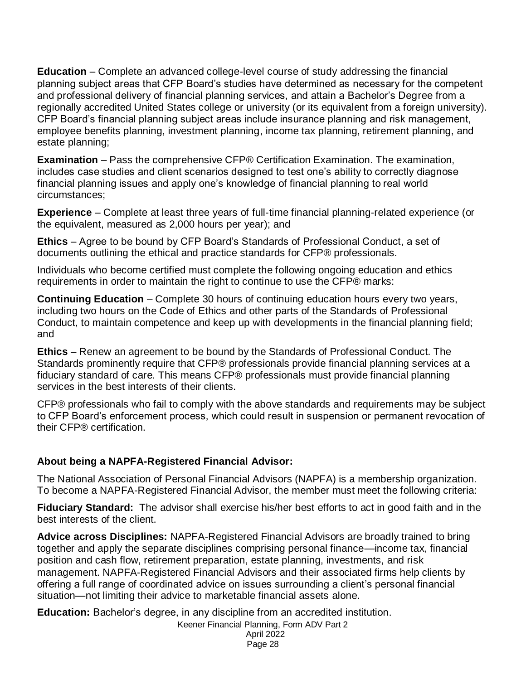**Education** – Complete an advanced college-level course of study addressing the financial planning subject areas that CFP Board's studies have determined as necessary for the competent and professional delivery of financial planning services, and attain a Bachelor's Degree from a regionally accredited United States college or university (or its equivalent from a foreign university). CFP Board's financial planning subject areas include insurance planning and risk management, employee benefits planning, investment planning, income tax planning, retirement planning, and estate planning;

**Examination** – Pass the comprehensive CFP® Certification Examination. The examination, includes case studies and client scenarios designed to test one's ability to correctly diagnose financial planning issues and apply one's knowledge of financial planning to real world circumstances;

**Experience** – Complete at least three years of full-time financial planning-related experience (or the equivalent, measured as 2,000 hours per year); and

**Ethics** – Agree to be bound by CFP Board's Standards of Professional Conduct, a set of documents outlining the ethical and practice standards for CFP® professionals.

Individuals who become certified must complete the following ongoing education and ethics requirements in order to maintain the right to continue to use the CFP® marks:

**Continuing Education** – Complete 30 hours of continuing education hours every two years, including two hours on the Code of Ethics and other parts of the Standards of Professional Conduct, to maintain competence and keep up with developments in the financial planning field; and

**Ethics** – Renew an agreement to be bound by the Standards of Professional Conduct. The Standards prominently require that CFP® professionals provide financial planning services at a fiduciary standard of care. This means CFP® professionals must provide financial planning services in the best interests of their clients.

CFP® professionals who fail to comply with the above standards and requirements may be subject to CFP Board's enforcement process, which could result in suspension or permanent revocation of their CFP® certification.

#### **About being a NAPFA-Registered Financial Advisor:**

The National Association of Personal Financial Advisors (NAPFA) is a membership organization. To become a NAPFA-Registered Financial Advisor, the member must meet the following criteria:

**Fiduciary Standard:** The advisor shall exercise his/her best efforts to act in good faith and in the best interests of the client.

**Advice across Disciplines:** NAPFA-Registered Financial Advisors are broadly trained to bring together and apply the separate disciplines comprising personal finance—income tax, financial position and cash flow, retirement preparation, estate planning, investments, and risk management. NAPFA-Registered Financial Advisors and their associated firms help clients by offering a full range of coordinated advice on issues surrounding a client's personal financial situation—not limiting their advice to marketable financial assets alone.

**Education:** Bachelor's degree, in any discipline from an accredited institution.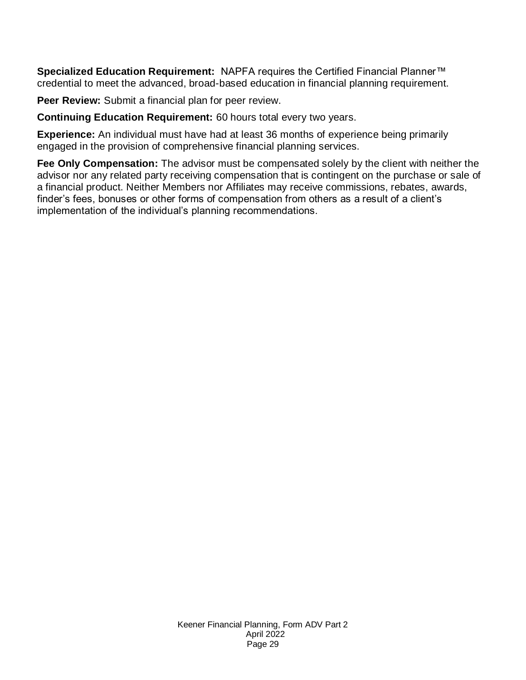**Specialized Education Requirement:** NAPFA requires the Certified Financial Planner™ credential to meet the advanced, broad-based education in financial planning requirement.

**Peer Review:** Submit a financial plan for peer review.

**Continuing Education Requirement:** 60 hours total every two years.

**Experience:** An individual must have had at least 36 months of experience being primarily engaged in the provision of comprehensive financial planning services.

**Fee Only Compensation:** The advisor must be compensated solely by the client with neither the advisor nor any related party receiving compensation that is contingent on the purchase or sale of a financial product. Neither Members nor Affiliates may receive commissions, rebates, awards, finder's fees, bonuses or other forms of compensation from others as a result of a client's implementation of the individual's planning recommendations.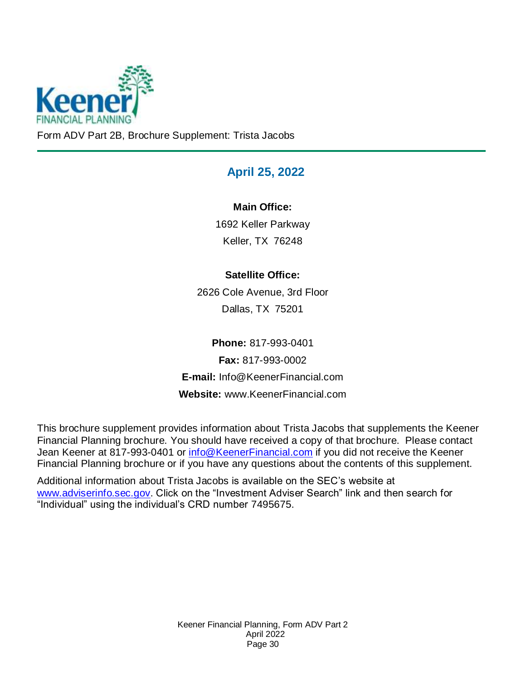

<span id="page-29-0"></span>Form ADV Part 2B, Brochure Supplement: Trista Jacobs

# **April 25, 2022**

## **Main Office:**

1692 Keller Parkway Keller, TX 76248

## **Satellite Office:**

2626 Cole Avenue, 3rd Floor Dallas, TX 75201

**Phone:** 817-993-0401 **Fax:** 817-993-0002 **E-mail:** Info@KeenerFinancial.com **Website:** www.KeenerFinancial.com

This brochure supplement provides information about Trista Jacobs that supplements the Keener Financial Planning brochure. You should have received a copy of that brochure. Please contact Jean Keener at 817-993-0401 or [info@KeenerFinancial.com](mailto:info@KeenerFinancial.com) if you did not receive the Keener Financial Planning brochure or if you have any questions about the contents of this supplement.

Additional information about Trista Jacobs is available on the SEC's website at [www.adviserinfo.sec.gov.](http://www.adviserinfo.sec.gov/) Click on the "Investment Adviser Search" link and then search for "Individual" using the individual's CRD number 7495675.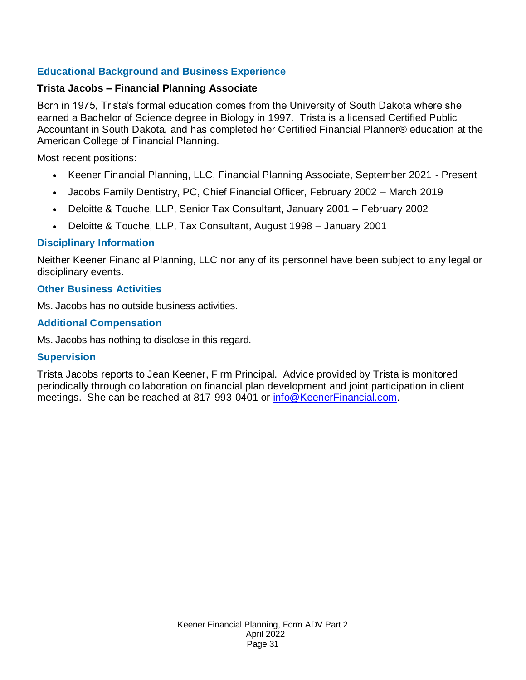## **Educational Background and Business Experience**

#### **Trista Jacobs – Financial Planning Associate**

Born in 1975, Trista's formal education comes from the University of South Dakota where she earned a Bachelor of Science degree in Biology in 1997. Trista is a licensed Certified Public Accountant in South Dakota, and has completed her Certified Financial Planner® education at the American College of Financial Planning.

Most recent positions:

- Keener Financial Planning, LLC, Financial Planning Associate, September 2021 Present
- Jacobs Family Dentistry, PC, Chief Financial Officer, February 2002 March 2019
- Deloitte & Touche, LLP, Senior Tax Consultant, January 2001 February 2002
- Deloitte & Touche, LLP, Tax Consultant, August 1998 January 2001

#### **Disciplinary Information**

Neither Keener Financial Planning, LLC nor any of its personnel have been subject to any legal or disciplinary events.

#### **Other Business Activities**

Ms. Jacobs has no outside business activities.

#### **Additional Compensation**

Ms. Jacobs has nothing to disclose in this regard.

#### **Supervision**

Trista Jacobs reports to Jean Keener, Firm Principal. Advice provided by Trista is monitored periodically through collaboration on financial plan development and joint participation in client meetings. She can be reached at 817-993-0401 or [info@KeenerFinancial.com.](mailto:info@KeenerFinancial.com)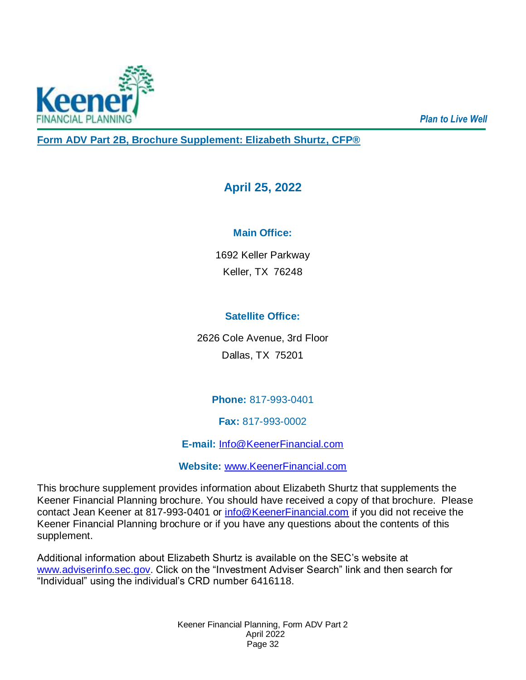<span id="page-31-0"></span>

*Plan to Live Well*

**Form ADV Part 2B, Brochure Supplement: Elizabeth Shurtz, CFP®**

# **April 25, 2022**

## **Main Office:**

1692 Keller Parkway Keller, TX 76248

## **Satellite Office:**

2626 Cole Avenue, 3rd Floor Dallas, TX 75201

## **Phone:** 817-993-0401

**Fax:** 817-993-0002

**E-mail:** [Info@KeenerFinancial.com](mailto:Info@KeenerFinancial.com)

**Website:** [www.KeenerFinancial.com](http://www.keenerfinancial.com/)

This brochure supplement provides information about Elizabeth Shurtz that supplements the Keener Financial Planning brochure. You should have received a copy of that brochure. Please contact Jean Keener at 817-993-0401 or [info@KeenerFinancial.com](mailto:info@KeenerFinancial.com) if you did not receive the Keener Financial Planning brochure or if you have any questions about the contents of this supplement.

Additional information about Elizabeth Shurtz is available on the SEC's website at [www.adviserinfo.sec.gov.](http://www.adviserinfo.sec.gov/) Click on the "Investment Adviser Search" link and then search for "Individual" using the individual's CRD number 6416118.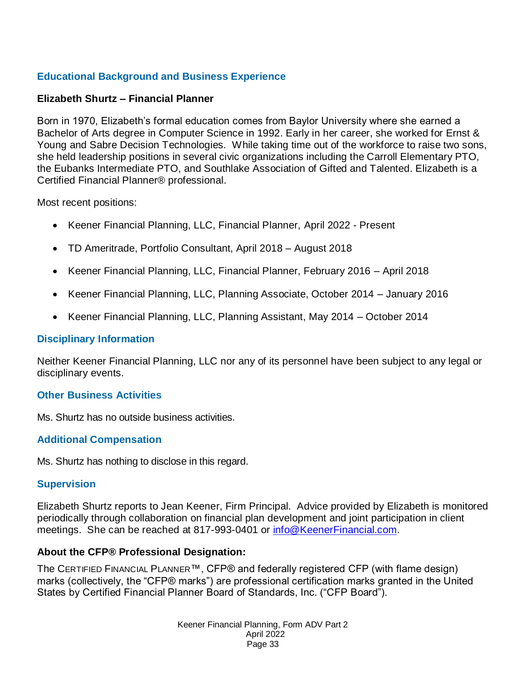## **Educational Background and Business Experience**

#### **Elizabeth Shurtz – Financial Planner**

Born in 1970, Elizabeth's formal education comes from Baylor University where she earned a Bachelor of Arts degree in Computer Science in 1992. Early in her career, she worked for Ernst & Young and Sabre Decision Technologies. While taking time out of the workforce to raise two sons, she held leadership positions in several civic organizations including the Carroll Elementary PTO, the Eubanks Intermediate PTO, and Southlake Association of Gifted and Talented. Elizabeth is a Certified Financial Planner® professional.

Most recent positions:

- Keener Financial Planning, LLC, Financial Planner, April 2022 Present
- TD Ameritrade, Portfolio Consultant, April 2018 August 2018
- Keener Financial Planning, LLC, Financial Planner, February 2016 April 2018
- Keener Financial Planning, LLC, Planning Associate, October 2014 January 2016
- Keener Financial Planning, LLC, Planning Assistant, May 2014 October 2014

#### **Disciplinary Information**

Neither Keener Financial Planning, LLC nor any of its personnel have been subject to any legal or disciplinary events.

#### **Other Business Activities**

Ms. Shurtz has no outside business activities.

#### **Additional Compensation**

Ms. Shurtz has nothing to disclose in this regard.

#### **Supervision**

Elizabeth Shurtz reports to Jean Keener, Firm Principal. Advice provided by Elizabeth is monitored periodically through collaboration on financial plan development and joint participation in client meetings. She can be reached at 817-993-0401 or [info@KeenerFinancial.com.](mailto:info@KeenerFinancial.com)

#### **About the CFP® Professional Designation:**

The CERTIFIED FINANCIAL PLANNER™, CFP® and federally registered CFP (with flame design) marks (collectively, the "CFP® marks") are professional certification marks granted in the United States by Certified Financial Planner Board of Standards, Inc. ("CFP Board").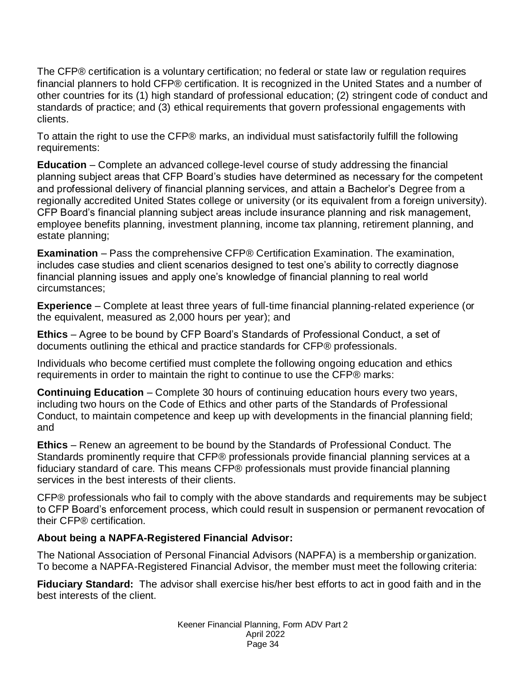The CFP® certification is a voluntary certification; no federal or state law or regulation requires financial planners to hold CFP® certification. It is recognized in the United States and a number of other countries for its (1) high standard of professional education; (2) stringent code of conduct and standards of practice; and (3) ethical requirements that govern professional engagements with clients.

To attain the right to use the CFP® marks, an individual must satisfactorily fulfill the following requirements:

**Education** – Complete an advanced college-level course of study addressing the financial planning subject areas that CFP Board's studies have determined as necessary for the competent and professional delivery of financial planning services, and attain a Bachelor's Degree from a regionally accredited United States college or university (or its equivalent from a foreign university). CFP Board's financial planning subject areas include insurance planning and risk management, employee benefits planning, investment planning, income tax planning, retirement planning, and estate planning;

**Examination** – Pass the comprehensive CFP® Certification Examination. The examination, includes case studies and client scenarios designed to test one's ability to correctly diagnose financial planning issues and apply one's knowledge of financial planning to real world circumstances;

**Experience** – Complete at least three years of full-time financial planning-related experience (or the equivalent, measured as 2,000 hours per year); and

**Ethics** – Agree to be bound by CFP Board's Standards of Professional Conduct, a set of documents outlining the ethical and practice standards for CFP® professionals.

Individuals who become certified must complete the following ongoing education and ethics requirements in order to maintain the right to continue to use the CFP® marks:

**Continuing Education** – Complete 30 hours of continuing education hours every two years, including two hours on the Code of Ethics and other parts of the Standards of Professional Conduct, to maintain competence and keep up with developments in the financial planning field; and

**Ethics** – Renew an agreement to be bound by the Standards of Professional Conduct. The Standards prominently require that CFP® professionals provide financial planning services at a fiduciary standard of care. This means CFP® professionals must provide financial planning services in the best interests of their clients.

CFP® professionals who fail to comply with the above standards and requirements may be subject to CFP Board's enforcement process, which could result in suspension or permanent revocation of their CFP® certification.

## **About being a NAPFA-Registered Financial Advisor:**

The National Association of Personal Financial Advisors (NAPFA) is a membership organization. To become a NAPFA-Registered Financial Advisor, the member must meet the following criteria:

**Fiduciary Standard:** The advisor shall exercise his/her best efforts to act in good faith and in the best interests of the client.